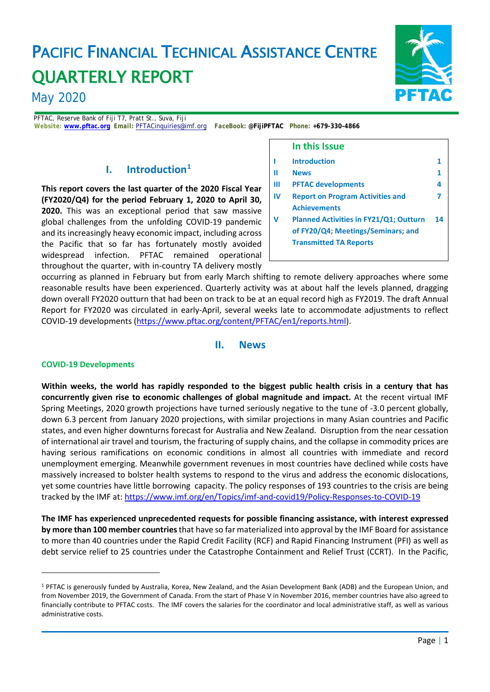# PACIFIC FINANCIAL TECHNICAL ASSISTANCE CENTRE QUARTERLY REPORT

# May 2020

PFTAC, Reserve Bank of Fiji T7, Pratt St., Suva, Fiji *Website:* **[www.pftac.org](http://www.pftac.org/)** *Email:* [PFTACinquiries@imf.org](mailto:PFTACinquiries@imf.org)*FaceBook***: @FijiPFTAC** *Phone:* **+679-330-4866**

# **I. Introduction[1](#page-0-0)**

**This report covers the last quarter of the 2020 Fiscal Year (FY2020/Q4) for the period February 1, 2020 to April 30, 2020.** This was an exceptional period that saw massive global challenges from the unfolding COVID-19 pandemic and its increasingly heavy economic impact, including across the Pacific that so far has fortunately mostly avoided widespread infection. PFTAC remained operational throughout the quarter, with in-country TA delivery mostly

|    | In this Issue                                                                       |    |
|----|-------------------------------------------------------------------------------------|----|
| ı  | <b>Introduction</b>                                                                 |    |
| П  | <b>News</b>                                                                         | 1  |
| Ш  | <b>PFTAC developments</b>                                                           | 4  |
| IV | <b>Report on Program Activities and</b>                                             |    |
|    | <b>Achievements</b>                                                                 |    |
| V  | <b>Planned Activities in FY21/Q1; Outturn</b><br>of FY20/Q4; Meetings/Seminars; and | 14 |
|    | <b>Transmitted TA Reports</b>                                                       |    |

occurring as planned in February but from early March shifting to remote delivery approaches where some reasonable results have been experienced. Quarterly activity was at about half the levels planned, dragging down overall FY2020 outturn that had been on track to be at an equal record high as FY2019. The draft Annual Report for FY2020 was circulated in early-April, several weeks late to accommodate adjustments to reflect COVID-19 developments [\(https://www.pftac.org/content/PFTAC/en1/reports.html\)](https://www.pftac.org/content/PFTAC/en1/reports.html).

# **II. News**

### **COVID-19 Developments**

**Within weeks, the world has rapidly responded to the biggest public health crisis in a century that has concurrently given rise to economic challenges of global magnitude and impact.** At the recent virtual IMF Spring Meetings, 2020 growth projections have turned seriously negative to the tune of -3.0 percent globally, down 6.3 percent from January 2020 projections, with similar projections in many Asian countries and Pacific states, and even higher downturns forecast for Australia and New Zealand. Disruption from the near cessation of international air travel and tourism, the fracturing of supply chains, and the collapse in commodity prices are having serious ramifications on economic conditions in almost all countries with immediate and record unemployment emerging. Meanwhile government revenues in most countries have declined while costs have massively increased to bolster health systems to respond to the virus and address the economic dislocations, yet some countries have little borrowing capacity. The policy responses of 193 countries to the crisis are being tracked by the IMF at:<https://www.imf.org/en/Topics/imf-and-covid19/Policy-Responses-to-COVID-19>

**The IMF has experienced unprecedented requests for possible financing assistance, with interest expressed by more than 100 member countries**that have so far materialized into approval by the IMF Board for assistance to more than 40 countries under the Rapid Credit Facility (RCF) and Rapid Financing Instrument (PFI) as well as debt service relief to 25 countries under the Catastrophe Containment and Relief Trust (CCRT). In the Pacific,

<span id="page-0-0"></span><sup>&</sup>lt;sup>1</sup> PFTAC is generously funded by Australia, Korea, New Zealand, and the Asian Development Bank (ADB) and the European Union, and from November 2019, the Government of Canada. From the start of Phase V in November 2016, member countries have also agreed to financially contribute to PFTAC costs. The IMF covers the salaries for the coordinator and local administrative staff, as well as various administrative costs.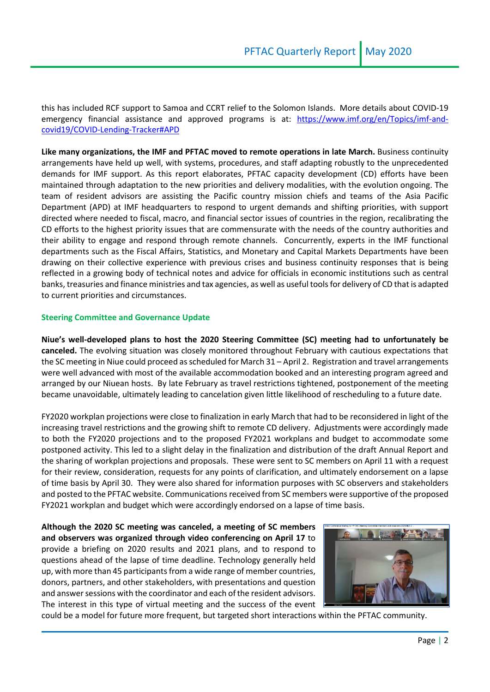this has included RCF support to Samoa and CCRT relief to the Solomon Islands. More details about COVID-19 emergency financial assistance and approved programs is at: [https://www.imf.org/en/Topics/imf-and](https://www.imf.org/en/Topics/imf-and-covid19/COVID-Lending-Tracker#APD)[covid19/COVID-Lending-Tracker#APD](https://www.imf.org/en/Topics/imf-and-covid19/COVID-Lending-Tracker#APD)

**Like many organizations, the IMF and PFTAC moved to remote operations in late March.** Business continuity arrangements have held up well, with systems, procedures, and staff adapting robustly to the unprecedented demands for IMF support. As this report elaborates, PFTAC capacity development (CD) efforts have been maintained through adaptation to the new priorities and delivery modalities, with the evolution ongoing. The team of resident advisors are assisting the Pacific country mission chiefs and teams of the Asia Pacific Department (APD) at IMF headquarters to respond to urgent demands and shifting priorities, with support directed where needed to fiscal, macro, and financial sector issues of countries in the region, recalibrating the CD efforts to the highest priority issues that are commensurate with the needs of the country authorities and their ability to engage and respond through remote channels. Concurrently, experts in the IMF functional departments such as the Fiscal Affairs, Statistics, and Monetary and Capital Markets Departments have been drawing on their collective experience with previous crises and business continuity responses that is being reflected in a growing body of technical notes and advice for officials in economic institutions such as central banks, treasuries and finance ministries and tax agencies, as well as useful tools for delivery of CD that is adapted to current priorities and circumstances.

#### **Steering Committee and Governance Update**

**Niue's well-developed plans to host the 2020 Steering Committee (SC) meeting had to unfortunately be canceled.** The evolving situation was closely monitored throughout February with cautious expectations that the SC meeting in Niue could proceed as scheduled for March 31 – April 2. Registration and travel arrangements were well advanced with most of the available accommodation booked and an interesting program agreed and arranged by our Niuean hosts. By late February as travel restrictions tightened, postponement of the meeting became unavoidable, ultimately leading to cancelation given little likelihood of rescheduling to a future date.

FY2020 workplan projections were close to finalization in early March that had to be reconsidered in light of the increasing travel restrictions and the growing shift to remote CD delivery. Adjustments were accordingly made to both the FY2020 projections and to the proposed FY2021 workplans and budget to accommodate some postponed activity. This led to a slight delay in the finalization and distribution of the draft Annual Report and the sharing of workplan projections and proposals. These were sent to SC members on April 11 with a request for their review, consideration, requests for any points of clarification, and ultimately endorsement on a lapse of time basis by April 30. They were also shared for information purposes with SC observers and stakeholders and posted to the PFTAC website. Communications received from SC members were supportive of the proposed FY2021 workplan and budget which were accordingly endorsed on a lapse of time basis.

**Although the 2020 SC meeting was canceled, a meeting of SC members and observers was organized through video conferencing on April 17** to provide a briefing on 2020 results and 2021 plans, and to respond to questions ahead of the lapse of time deadline. Technology generally held up, with more than 45 participants from a wide range of member countries, donors, partners, and other stakeholders, with presentations and question and answer sessions with the coordinator and each of the resident advisors. The interest in this type of virtual meeting and the success of the event



could be a model for future more frequent, but targeted short interactions within the PFTAC community.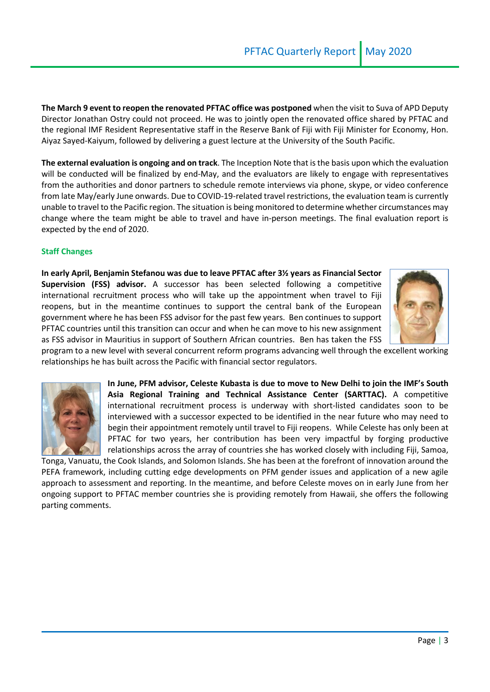**The March 9 event to reopen the renovated PFTAC office was postponed** when the visit to Suva of APD Deputy Director Jonathan Ostry could not proceed. He was to jointly open the renovated office shared by PFTAC and the regional IMF Resident Representative staff in the Reserve Bank of Fiji with Fiji Minister for Economy, Hon. Aiyaz Sayed-Kaiyum, followed by delivering a guest lecture at the University of the South Pacific.

**The external evaluation is ongoing and on track**. The Inception Note that is the basis upon which the evaluation will be conducted will be finalized by end-May, and the evaluators are likely to engage with representatives from the authorities and donor partners to schedule remote interviews via phone, skype, or video conference from late May/early June onwards. Due to COVID-19-related travel restrictions, the evaluation team is currently unable to travel to the Pacific region. The situation is being monitored to determine whether circumstances may change where the team might be able to travel and have in-person meetings. The final evaluation report is expected by the end of 2020.

### **Staff Changes**

**In early April, Benjamin Stefanou was due to leave PFTAC after 3½ years as Financial Sector Supervision (FSS) advisor.** A successor has been selected following a competitive international recruitment process who will take up the appointment when travel to Fiji reopens, but in the meantime continues to support the central bank of the European government where he has been FSS advisor for the past few years. Ben continues to support PFTAC countries until this transition can occur and when he can move to his new assignment as FSS advisor in Mauritius in support of Southern African countries. Ben has taken the FSS



program to a new level with several concurrent reform programs advancing well through the excellent working relationships he has built across the Pacific with financial sector regulators.



**In June, PFM advisor, Celeste Kubasta is due to move to New Delhi to join the IMF's South Asia Regional Training and Technical Assistance Center (SARTTAC).** A competitive international recruitment process is underway with short-listed candidates soon to be interviewed with a successor expected to be identified in the near future who may need to begin their appointment remotely until travel to Fiji reopens. While Celeste has only been at PFTAC for two years, her contribution has been very impactful by forging productive relationships across the array of countries she has worked closely with including Fiji, Samoa,

Tonga, Vanuatu, the Cook Islands, and Solomon Islands. She has been at the forefront of innovation around the PEFA framework, including cutting edge developments on PFM gender issues and application of a new agile approach to assessment and reporting. In the meantime, and before Celeste moves on in early June from her ongoing support to PFTAC member countries she is providing remotely from Hawaii, she offers the following parting comments.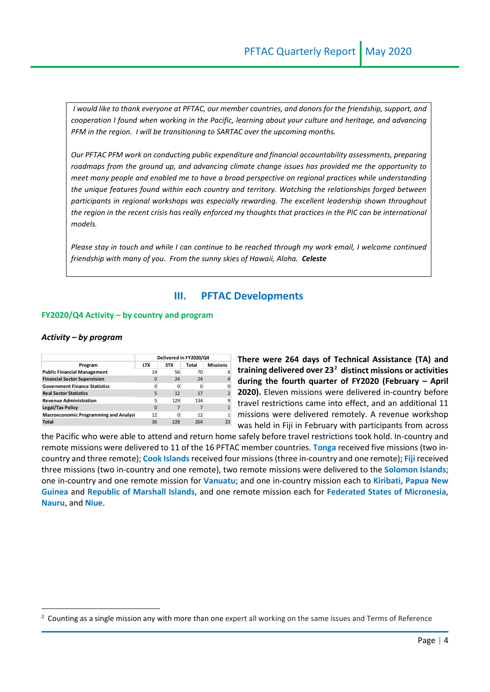*I would like to thank everyone at PFTAC, our member countries, and donors for the friendship, support, and cooperation I found when working in the Pacific, learning about your culture and heritage, and advancing PFM in the region. I will be transitioning to SARTAC over the upcoming months.* 

*Our PFTAC PFM work on conducting public expenditure and financial accountability assessments, preparing roadmaps from the ground up, and advancing climate change issues has provided me the opportunity to meet many people and enabled me to have a broad perspective on regional practices while understanding the unique features found within each country and territory. Watching the relationships forged between participants in regional workshops was especially rewarding. The excellent leadership shown throughout the region in the recent crisis has really enforced my thoughts that practices in the PIC can be international models.* 

*Please stay in touch and while I can continue to be reached through my work email, I welcome continued friendship with many of you. From the sunny skies of Hawaii, Aloha. Celeste* 

# **III. PFTAC Developments**

#### **FY2020/Q4 Activity – by country and program**

#### *Activity – by program*

|                                              | Delivered in FY2020/Q4 |            |       |                 |  |  |
|----------------------------------------------|------------------------|------------|-------|-----------------|--|--|
| Program                                      | <b>LTX</b>             | <b>STX</b> | Total | <b>Missions</b> |  |  |
| <b>Public Financial Management</b>           | 14                     | 56         | 70    |                 |  |  |
| <b>Financial Sector Supervision</b>          | $\Omega$               | 24         | 24    |                 |  |  |
| <b>Government Finance Statistics</b>         | 0                      | 0          | 0     |                 |  |  |
| <b>Real Sector Statistics</b>                | 5                      | 12         | 17    |                 |  |  |
| <b>Revenue Administration</b>                | 5                      | 129        | 134   |                 |  |  |
| <b>Legal/Tax Policy</b>                      | $\Omega$               |            |       |                 |  |  |
| <b>Macroeconomic Programming and Analysi</b> | 12                     | 0          | 12    |                 |  |  |
| <b>Total</b>                                 | 36                     | 228        | 264   | 23              |  |  |

**There were 264 days of Technical Assistance (TA) and training delivered over 23[2](#page-3-0) distinct missions or activities during the fourth quarter of FY2020 (February – April 2020).** Eleven missions were delivered in-country before travel restrictions came into effect, and an additional 11 missions were delivered remotely. A revenue workshop was held in Fiji in February with participants from across

the Pacific who were able to attend and return home safely before travel restrictions took hold. In-country and remote missions were delivered to 11 of the 16 PFTAC member countries. **Tonga** received five missions (two incountry and three remote); **Cook Islands**received four missions (three in-country and one remote); **Fiji** received three missions (two in-country and one remote), two remote missions were delivered to the **Solomon Islands**; one in-country and one remote mission for **Vanuatu**; and one in-country mission each to **Kiribati, Papua New Guinea** and **Republic of Marshall Islands**, and one remote mission each for **Federated States of Micronesia**, **Nauru**, and **Niue**.

<span id="page-3-0"></span> $2$  Counting as a single mission any with more than one expert all working on the same issues and Terms of Reference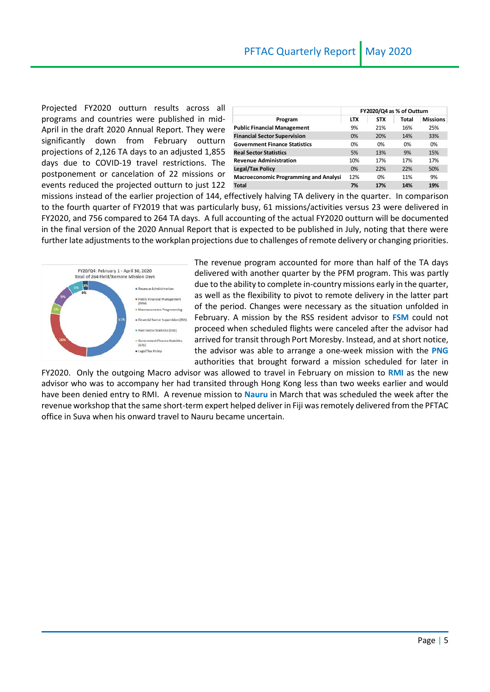Projected FY2020 outturn results across all programs and countries were published in mid-April in the draft 2020 Annual Report. They were significantly down from February outturn projections of 2,126 TA days to an adjusted 1,855 days due to COVID-19 travel restrictions. The postponement or cancelation of 22 missions or events reduced the projected outturn to just 122

|                                              | FY2020/Q4 as % of Outturn |            |       |                 |  |  |
|----------------------------------------------|---------------------------|------------|-------|-----------------|--|--|
| Program                                      | <b>LTX</b>                | <b>STX</b> | Total | <b>Missions</b> |  |  |
| <b>Public Financial Management</b>           | 9%                        | 21%        | 16%   | 25%             |  |  |
| <b>Financial Sector Supervision</b>          | 0%                        | 20%        | 14%   | 33%             |  |  |
| <b>Government Finance Statistics</b>         | 0%                        | 0%         | 0%    | 0%              |  |  |
| <b>Real Sector Statistics</b>                | 5%                        | 13%        | 9%    | 15%             |  |  |
| <b>Revenue Administration</b>                | 10%                       | 17%        | 17%   | 17%             |  |  |
| Legal/Tax Policy                             | 0%                        | 22%        | 22%   | 50%             |  |  |
| <b>Macroeconomic Programming and Analysi</b> | 12%                       | 0%         | 11%   | 9%              |  |  |
| <b>Total</b>                                 | 7%                        | 17%        | 14%   | 19%             |  |  |

missions instead of the earlier projection of 144, effectively halving TA delivery in the quarter. In comparison to the fourth quarter of FY2019 that was particularly busy, 61 missions/activities versus 23 were delivered in FY2020, and 756 compared to 264 TA days. A full accounting of the actual FY2020 outturn will be documented in the final version of the 2020 Annual Report that is expected to be published in July, noting that there were further late adjustments to the workplan projections due to challenges of remote delivery or changing priorities.



The revenue program accounted for more than half of the TA days delivered with another quarter by the PFM program. This was partly due to the ability to complete in-country missions early in the quarter, as well as the flexibility to pivot to remote delivery in the latter part of the period. Changes were necessary as the situation unfolded in February. A mission by the RSS resident advisor to **FSM** could not proceed when scheduled flights were canceled after the advisor had arrived for transit through Port Moresby. Instead, and at short notice, the advisor was able to arrange a one-week mission with the **PNG** authorities that brought forward a mission scheduled for later in

FY2020. Only the outgoing Macro advisor was allowed to travel in February on mission to **RMI** as the new advisor who was to accompany her had transited through Hong Kong less than two weeks earlier and would have been denied entry to RMI. A revenue mission to **Nauru** in March that was scheduled the week after the revenue workshop that the same short-term expert helped deliver in Fiji was remotely delivered from the PFTAC office in Suva when his onward travel to Nauru became uncertain.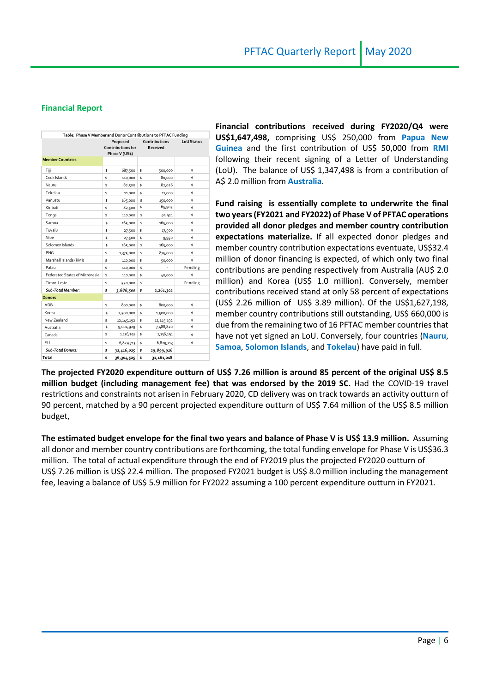### **Financial Report**

| Table: Phase V Member and Donor Contributions to PFTAC Funding |    |                                                        |    |                           |                   |
|----------------------------------------------------------------|----|--------------------------------------------------------|----|---------------------------|-------------------|
|                                                                |    | Proposed<br><b>Contributions for</b><br>Phase V (US\$) |    | Contributions<br>Received | <b>LoU Status</b> |
| <b>Member Countries</b>                                        |    |                                                        |    |                           |                   |
| Fiji                                                           | \$ | 687,500                                                | \$ | 500,000                   | $\sqrt{ }$        |
| Cook Islands                                                   | \$ | 110,000                                                | Ś. | 80,000                    | V                 |
| Nauru                                                          | Ś  | 82,500                                                 | Ś. | 82,026                    | V                 |
| Tokelau                                                        | \$ | 11,000                                                 | \$ | 11,000                    | $\sqrt{ }$        |
| Vanuatu                                                        | Ś  | 165,000                                                | Ś. | 150,000                   | V                 |
| Kiribati                                                       | \$ | 82,500                                                 | \$ | 65,905                    | V                 |
| Tonga                                                          | \$ | 110,000                                                | \$ | 49,921                    | $\sqrt{ }$        |
| Samoa                                                          | \$ | 165,000                                                | \$ | 165,000                   | V                 |
| Tuvalu                                                         | \$ | 27,500                                                 | \$ | 17,500                    | V                 |
| Niue                                                           | Ś  | 27,500                                                 | Ś. | 9,950                     | V                 |
| Solomon Islands                                                | \$ | 165,000                                                | \$ | 165,000                   | $\sqrt{ }$        |
| <b>PNG</b>                                                     | Ś  | 1,375,000                                              | \$ | 875,000                   | $\sqrt{ }$        |
| Marshall Islands (RMI)                                         | \$ | 110,000                                                | \$ | 50,000                    | V                 |
| Palau                                                          | Ś  | 110,000                                                | \$ |                           | Pending           |
| <b>Federated States of Micronesia</b>                          | Ś  | 110,000                                                | \$ | 40,000                    | V                 |
| Timor-Leste                                                    | \$ | 550,000                                                | \$ |                           | Pending           |
| <b>Sub-Total Member:</b>                                       | s  | 3,888,500                                              | \$ | 2,261,302                 |                   |
| <b>Donors</b>                                                  |    |                                                        |    |                           |                   |
| ADB                                                            | \$ | 800,000                                                | \$ | 800,000                   | $\sqrt{ }$        |
| Korea                                                          | \$ | 2,500,000                                              | \$ | 1,500,000                 | V                 |
| New Zealand                                                    | \$ | 12, 145, 192                                           | \$ | 12, 145, 192              | V                 |
| Australia                                                      | \$ | 9,004,929                                              | \$ | 7,488,820                 | V                 |
| Canada                                                         | \$ | 1,136,191                                              | \$ | 1,136,191                 | V                 |
| EU                                                             | \$ | 6,829,713                                              | \$ | 6,829,713                 | V                 |
| <b>Sub-Total Donors:</b>                                       | Ś  | 32,416,025                                             | s  | 29,899,916                |                   |
| Total                                                          | \$ | 36,304,525                                             | Ś  | 32,161,218                |                   |

**Financial contributions received during FY2020/Q4 were US\$1,647,498,** comprising US\$ 250,000 from **Papua New Guinea** and the first contribution of US\$ 50,000 from **RMI** following their recent signing of a Letter of Understanding (LoU). The balance of US\$ 1,347,498 is from a contribution of A\$ 2.0 million from **Australia**.

**Fund raising is essentially complete to underwrite the final two years (FY2021 and FY2022) of Phase V of PFTAC operations provided all donor pledges and member country contribution expectations materialize.** If all expected donor pledges and member country contribution expectations eventuate, US\$32.4 million of donor financing is expected, of which only two final contributions are pending respectively from Australia (AU\$ 2.0 million) and Korea (US\$ 1.0 million). Conversely, member contributions received stand at only 58 percent of expectations (US\$ 2.26 million of US\$ 3.89 million). Of the US\$1,627,198, member country contributions still outstanding, US\$ 660,000 is due from the remaining two of 16 PFTAC member countries that have not yet signed an LoU. Conversely, four countries (**Nauru**, **Samoa**, **Solomon Islands**, and **Tokelau**) have paid in full.

**The projected FY2020 expenditure outturn of US\$ 7.26 million is around 85 percent of the original US\$ 8.5 million budget (including management fee) that was endorsed by the 2019 SC.** Had the COVID-19 travel restrictions and constraints not arisen in February 2020, CD delivery was on track towards an activity outturn of 90 percent, matched by a 90 percent projected expenditure outturn of US\$ 7.64 million of the US\$ 8.5 million budget,

**The estimated budget envelope for the final two years and balance of Phase V is US\$ 13.9 million.** Assuming all donor and member country contributions are forthcoming, the total funding envelope for Phase V is US\$36.3 million. The total of actual expenditure through the end of FY2019 plus the projected FY2020 outturn of US\$ 7.26 million is US\$ 22.4 million. The proposed FY2021 budget is US\$ 8.0 million including the management fee, leaving a balance of US\$ 5.9 million for FY2022 assuming a 100 percent expenditure outturn in FY2021.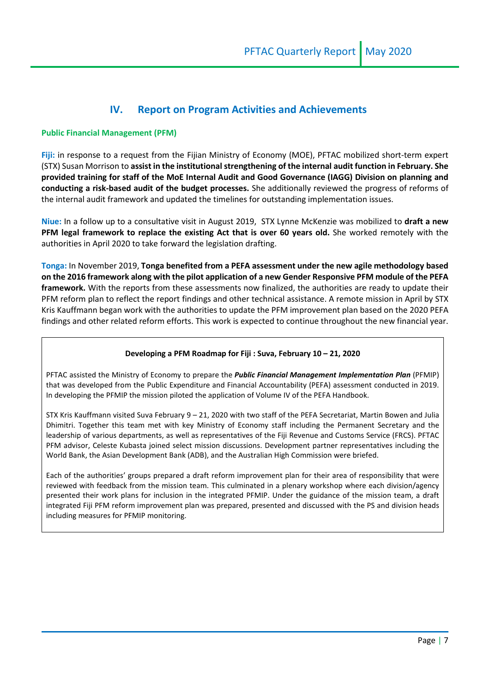# **IV. Report on Program Activities and Achievements**

#### **Public Financial Management (PFM)**

**Fiji:** in response to a request from the Fijian Ministry of Economy (MOE), PFTAC mobilized short-term expert (STX) Susan Morrison to **assist in the institutional strengthening of the internal audit function in February. She provided training for staff of the MoE Internal Audit and Good Governance (IAGG) Division on planning and conducting a risk-based audit of the budget processes.** She additionally reviewed the progress of reforms of the internal audit framework and updated the timelines for outstanding implementation issues.

**Niue:** In a follow up to a consultative visit in August 2019, STX Lynne McKenzie was mobilized to **draft a new PFM legal framework to replace the existing Act that is over 60 years old.** She worked remotely with the authorities in April 2020 to take forward the legislation drafting.

**Tonga:** In November 2019, **Tonga benefited from a PEFA assessment under the new agile methodology based on the 2016 framework along with the pilot application of a new Gender Responsive PFM module of the PEFA framework.** With the reports from these assessments now finalized, the authorities are ready to update their PFM reform plan to reflect the report findings and other technical assistance. A remote mission in April by STX Kris Kauffmann began work with the authorities to update the PFM improvement plan based on the 2020 PEFA findings and other related reform efforts. This work is expected to continue throughout the new financial year.

### **Developing a PFM Roadmap for Fiji : Suva, February 10 – 21, 2020**

PFTAC assisted the Ministry of Economy to prepare the *Public Financial Management Implementation Plan* (PFMIP) that was developed from the Public Expenditure and Financial Accountability (PEFA) assessment conducted in 2019. In developing the PFMIP the mission piloted the application of Volume IV of the PEFA Handbook.

STX Kris Kauffmann visited Suva February 9 – 21, 2020 with two staff of the PEFA Secretariat, Martin Bowen and Julia Dhimitri. Together this team met with key Ministry of Economy staff including the Permanent Secretary and the leadership of various departments, as well as representatives of the Fiji Revenue and Customs Service (FRCS). PFTAC PFM advisor, Celeste Kubasta joined select mission discussions. Development partner representatives including the World Bank, the Asian Development Bank (ADB), and the Australian High Commission were briefed.

Each of the authorities' groups prepared a draft reform improvement plan for their area of responsibility that were reviewed with feedback from the mission team. This culminated in a plenary workshop where each division/agency presented their work plans for inclusion in the integrated PFMIP. Under the guidance of the mission team, a draft integrated Fiji PFM reform improvement plan was prepared, presented and discussed with the PS and division heads including measures for PFMIP monitoring.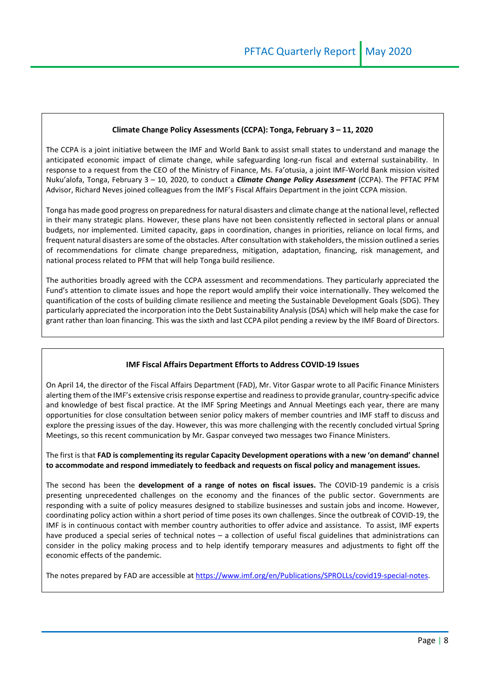#### **Climate Change Policy Assessments (CCPA): Tonga, February 3 – 11, 2020**

The CCPA is a joint initiative between the IMF and World Bank to assist small states to understand and manage the anticipated economic impact of climate change, while safeguarding long-run fiscal and external sustainability. In response to a request from the CEO of the Ministry of Finance, Ms. Fa'otusia, a joint IMF-World Bank mission visited Nuku'alofa, Tonga, February 3 – 10, 2020, to conduct a *Climate Change Policy Assessment* (CCPA). The PFTAC PFM Advisor, Richard Neves joined colleagues from the IMF's Fiscal Affairs Department in the joint CCPA mission.

Tonga has made good progress on preparednessfor natural disasters and climate change at the national level, reflected in their many strategic plans. However, these plans have not been consistently reflected in sectoral plans or annual budgets, nor implemented. Limited capacity, gaps in coordination, changes in priorities, reliance on local firms, and frequent natural disasters are some of the obstacles. After consultation with stakeholders, the mission outlined a series of recommendations for climate change preparedness, mitigation, adaptation, financing, risk management, and national process related to PFM that will help Tonga build resilience.

The authorities broadly agreed with the CCPA assessment and recommendations. They particularly appreciated the Fund's attention to climate issues and hope the report would amplify their voice internationally. They welcomed the quantification of the costs of building climate resilience and meeting the Sustainable Development Goals (SDG). They particularly appreciated the incorporation into the Debt Sustainability Analysis (DSA) which will help make the case for grant rather than loan financing. This was the sixth and last CCPA pilot pending a review by the IMF Board of Directors.

#### **IMF Fiscal Affairs Department Efforts to Address COVID-19 Issues**

On April 14, the director of the Fiscal Affairs Department (FAD), Mr. Vitor Gaspar wrote to all Pacific Finance Ministers alerting them of the IMF's extensive crisis response expertise and readiness to provide granular, country-specific advice and knowledge of best fiscal practice. At the IMF Spring Meetings and Annual Meetings each year, there are many opportunities for close consultation between senior policy makers of member countries and IMF staff to discuss and explore the pressing issues of the day. However, this was more challenging with the recently concluded virtual Spring Meetings, so this recent communication by Mr. Gaspar conveyed two messages two Finance Ministers.

The first is that **FAD is complementing its regular Capacity Development operations with a new 'on demand' channel to accommodate and respond immediately to feedback and requests on fiscal policy and management issues.** 

The second has been the **development of a range of notes on fiscal issues.** The COVID-19 pandemic is a crisis presenting unprecedented challenges on the economy and the finances of the public sector. Governments are responding with a suite of policy measures designed to stabilize businesses and sustain jobs and income. However, coordinating policy action within a short period of time poses its own challenges. Since the outbreak of COVID-19, the IMF is in continuous contact with member country authorities to offer advice and assistance. To assist, IMF experts have produced a special series of technical notes – a collection of useful fiscal guidelines that administrations can consider in the policy making process and to help identify temporary measures and adjustments to fight off the economic effects of the pandemic.

The notes prepared by FAD are accessible at [https://www.imf.org/en/Publications/SPROLLs/covid19-special-notes.](https://www.imf.org/en/Publications/SPROLLs/covid19-special-notes)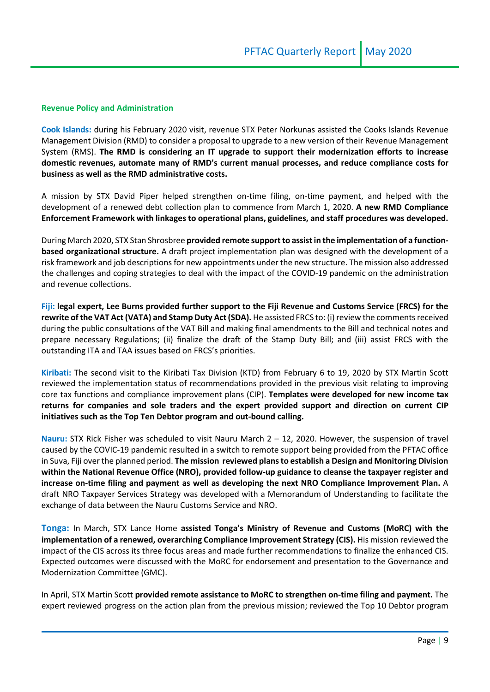#### **Revenue Policy and Administration**

**Cook Islands:** during his February 2020 visit, revenue STX Peter Norkunas assisted the Cooks Islands Revenue Management Division (RMD) to consider a proposal to upgrade to a new version of their Revenue Management System (RMS). **The RMD is considering an IT upgrade to support their modernization efforts to increase domestic revenues, automate many of RMD's current manual processes, and reduce compliance costs for business as well as the RMD administrative costs.**

A mission by STX David Piper helped strengthen on-time filing, on-time payment, and helped with the development of a renewed debt collection plan to commence from March 1, 2020. **A new RMD Compliance Enforcement Framework with linkages to operational plans, guidelines, and staff procedures was developed.** 

During March 2020, STX Stan Shrosbree **provided remote support to assist in the implementation of a functionbased organizational structure.** A draft project implementation plan was designed with the development of a risk framework and job descriptionsfor new appointments under the new structure. The mission also addressed the challenges and coping strategies to deal with the impact of the COVID-19 pandemic on the administration and revenue collections.

**Fiji: legal expert, Lee Burns provided further support to the Fiji Revenue and Customs Service (FRCS) for the rewrite of the VAT Act (VATA) and Stamp Duty Act (SDA).** He assisted FRCS to: (i) review the comments received during the public consultations of the VAT Bill and making final amendments to the Bill and technical notes and prepare necessary Regulations; (ii) finalize the draft of the Stamp Duty Bill; and (iii) assist FRCS with the outstanding ITA and TAA issues based on FRCS's priorities.

**Kiribati:** The second visit to the Kiribati Tax Division (KTD) from February 6 to 19, 2020 by STX Martin Scott reviewed the implementation status of recommendations provided in the previous visit relating to improving core tax functions and compliance improvement plans (CIP). **Templates were developed for new income tax returns for companies and sole traders and the expert provided support and direction on current CIP initiatives such as the Top Ten Debtor program and out-bound calling.**

**Nauru:** STX Rick Fisher was scheduled to visit Nauru March 2 – 12, 2020. However, the suspension of travel caused by the COVIC-19 pandemic resulted in a switch to remote support being provided from the PFTAC office in Suva, Fiji over the planned period. **The mission reviewed plans to establish a Design and Monitoring Division within the National Revenue Office (NRO), provided follow-up guidance to cleanse the taxpayer register and increase on-time filing and payment as well as developing the next NRO Compliance Improvement Plan.** A draft NRO Taxpayer Services Strategy was developed with a Memorandum of Understanding to facilitate the exchange of data between the Nauru Customs Service and NRO.

**Tonga:** In March, STX Lance Home **assisted Tonga's Ministry of Revenue and Customs (MoRC) with the implementation of a renewed, overarching Compliance Improvement Strategy (CIS).** His mission reviewed the impact of the CIS across its three focus areas and made further recommendations to finalize the enhanced CIS. Expected outcomes were discussed with the MoRC for endorsement and presentation to the Governance and Modernization Committee (GMC).

In April, STX Martin Scott **provided remote assistance to MoRC to strengthen on-time filing and payment.** The expert reviewed progress on the action plan from the previous mission; reviewed the Top 10 Debtor program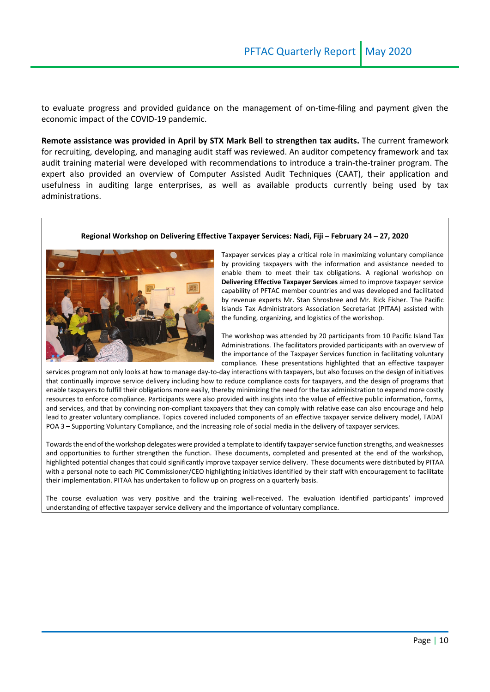to evaluate progress and provided guidance on the management of on-time-filing and payment given the economic impact of the COVID-19 pandemic.

**Remote assistance was provided in April by STX Mark Bell to strengthen tax audits.** The current framework for recruiting, developing, and managing audit staff was reviewed. An auditor competency framework and tax audit training material were developed with recommendations to introduce a train-the-trainer program. The expert also provided an overview of Computer Assisted Audit Techniques (CAAT), their application and usefulness in auditing large enterprises, as well as available products currently being used by tax administrations.

#### **Regional Workshop on Delivering Effective Taxpayer Services: Nadi, Fiji – February 24 – 27, 2020**



Taxpayer services play a critical role in maximizing voluntary compliance by providing taxpayers with the information and assistance needed to enable them to meet their tax obligations. A regional workshop on **Delivering Effective Taxpayer Services** aimed to improve taxpayer service capability of PFTAC member countries and was developed and facilitated by revenue experts Mr. Stan Shrosbree and Mr. Rick Fisher. The Pacific Islands Tax Administrators Association Secretariat (PITAA) assisted with the funding, organizing, and logistics of the workshop.

The workshop was attended by 20 participants from 10 Pacific Island Tax Administrations. The facilitators provided participants with an overview of the importance of the Taxpayer Services function in facilitating voluntary compliance. These presentations highlighted that an effective taxpayer

services program not only looks at how to manage day-to-day interactions with taxpayers, but also focuses on the design of initiatives that continually improve service delivery including how to reduce compliance costs for taxpayers, and the design of programs that enable taxpayers to fulfill their obligations more easily, thereby minimizing the need for the tax administration to expend more costly resources to enforce compliance. Participants were also provided with insights into the value of effective public information, forms, and services, and that by convincing non-compliant taxpayers that they can comply with relative ease can also encourage and help lead to greater voluntary compliance. Topics covered included components of an effective taxpayer service delivery model, TADAT POA 3 – Supporting Voluntary Compliance, and the increasing role of social media in the delivery of taxpayer services.

Towards the end of the workshop delegates were provided a template to identify taxpayer service function strengths, and weaknesses and opportunities to further strengthen the function. These documents, completed and presented at the end of the workshop, highlighted potential changes that could significantly improve taxpayer service delivery. These documents were distributed by PITAA with a personal note to each PIC Commissioner/CEO highlighting initiatives identified by their staff with encouragement to facilitate their implementation. PITAA has undertaken to follow up on progress on a quarterly basis.

The course evaluation was very positive and the training well-received. The evaluation identified participants' improved understanding of effective taxpayer service delivery and the importance of voluntary compliance.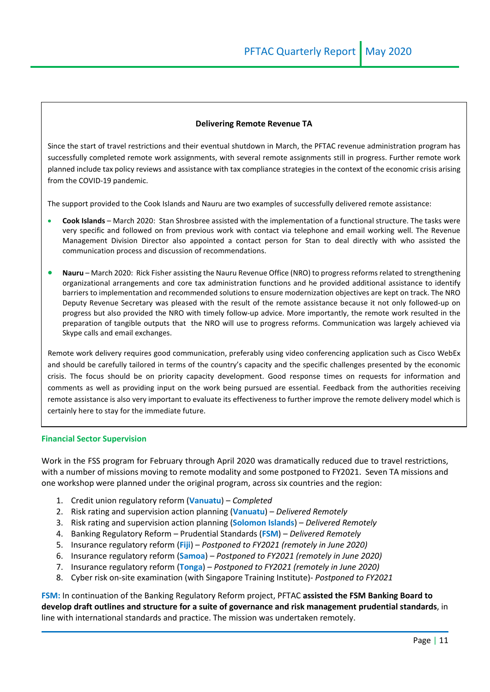#### **Delivering Remote Revenue TA**

Since the start of travel restrictions and their eventual shutdown in March, the PFTAC revenue administration program has successfully completed remote work assignments, with several remote assignments still in progress. Further remote work planned include tax policy reviews and assistance with tax compliance strategies in the context of the economic crisis arising from the COVID-19 pandemic.

The support provided to the Cook Islands and Nauru are two examples of successfully delivered remote assistance:

- **Cook Islands** March 2020: Stan Shrosbree assisted with the implementation of a functional structure. The tasks were very specific and followed on from previous work with contact via telephone and email working well. The Revenue Management Division Director also appointed a contact person for Stan to deal directly with who assisted the communication process and discussion of recommendations.
- **Nauru** March 2020: Rick Fisher assisting the Nauru Revenue Office (NRO) to progress reforms related to strengthening organizational arrangements and core tax administration functions and he provided additional assistance to identify barriers to implementation and recommended solutions to ensure modernization objectives are kept on track. The NRO Deputy Revenue Secretary was pleased with the result of the remote assistance because it not only followed-up on progress but also provided the NRO with timely follow-up advice. More importantly, the remote work resulted in the preparation of tangible outputs that the NRO will use to progress reforms. Communication was largely achieved via Skype calls and email exchanges.

Remote work delivery requires good communication, preferably using video conferencing application such as Cisco WebEx and should be carefully tailored in terms of the country's capacity and the specific challenges presented by the economic crisis. The focus should be on priority capacity development. Good response times on requests for information and comments as well as providing input on the work being pursued are essential. Feedback from the authorities receiving remote assistance is also very important to evaluate its effectiveness to further improve the remote delivery model which is certainly here to stay for the immediate future.

#### **Financial Sector Supervision**

Work in the FSS program for February through April 2020 was dramatically reduced due to travel restrictions, with a number of missions moving to remote modality and some postponed to FY2021. Seven TA missions and one workshop were planned under the original program, across six countries and the region:

- 1. Credit union regulatory reform (**Vanuatu**) *Completed*
- 2. Risk rating and supervision action planning (**Vanuatu**) *Delivered Remotely*
- 3. Risk rating and supervision action planning (**Solomon Islands**) *Delivered Remotely*
- 4. Banking Regulatory Reform Prudential Standards (**FSM**) *Delivered Remotely*
- 5. Insurance regulatory reform (**Fiji**) *Postponed to FY2021 (remotely in June 2020)*
- 6. Insurance regulatory reform (**Samoa**) *Postponed to FY2021 (remotely in June 2020)*
- 7. Insurance regulatory reform (**Tonga**) *Postponed to FY2021 (remotely in June 2020)*
- 8. Cyber risk on-site examination (with Singapore Training Institute)- *Postponed to FY2021*

**FSM:** In continuation of the Banking Regulatory Reform project, PFTAC **assisted the FSM Banking Board to develop draft outlines and structure for a suite of governance and risk management prudential standards**, in line with international standards and practice. The mission was undertaken remotely.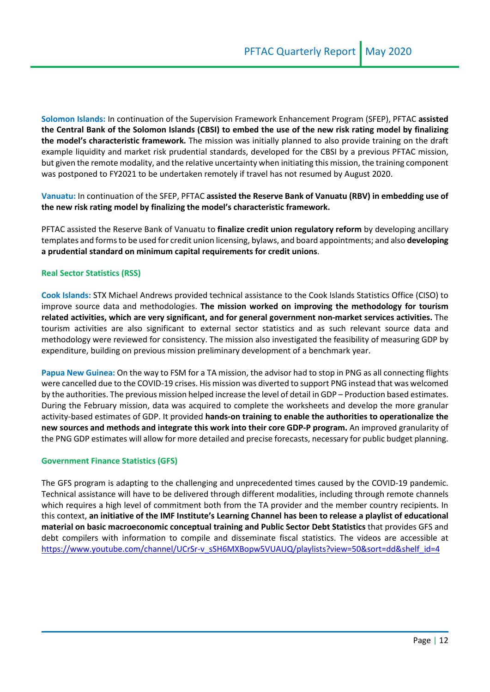**Solomon Islands:** In continuation of the Supervision Framework Enhancement Program (SFEP), PFTAC **assisted the Central Bank of the Solomon Islands (CBSI) to embed the use of the new risk rating model by finalizing the model's characteristic framework.** The mission was initially planned to also provide training on the draft example liquidity and market risk prudential standards, developed for the CBSI by a previous PFTAC mission, but given the remote modality, and the relative uncertainty when initiating this mission, the training component was postponed to FY2021 to be undertaken remotely if travel has not resumed by August 2020.

**Vanuatu:** In continuation of the SFEP, PFTAC **assisted the Reserve Bank of Vanuatu (RBV) in embedding use of the new risk rating model by finalizing the model's characteristic framework.**

PFTAC assisted the Reserve Bank of Vanuatu to **finalize credit union regulatory reform** by developing ancillary templates and forms to be used for credit union licensing, bylaws, and board appointments; and also **developing a prudential standard on minimum capital requirements for credit unions**.

### **Real Sector Statistics (RSS)**

**Cook Islands:** STX Michael Andrews provided technical assistance to the Cook Islands Statistics Office (CISO) to improve source data and methodologies. **The mission worked on improving the methodology for tourism related activities, which are very significant, and for general government non-market services activities.** The tourism activities are also significant to external sector statistics and as such relevant source data and methodology were reviewed for consistency. The mission also investigated the feasibility of measuring GDP by expenditure, building on previous mission preliminary development of a benchmark year.

**Papua New Guinea:** On the way to FSM for a TA mission, the advisor had to stop in PNG as all connecting flights were cancelled due to the COVID-19 crises. His mission was diverted to support PNG instead that was welcomed by the authorities. The previous mission helped increase the level of detail in GDP – Production based estimates. During the February mission, data was acquired to complete the worksheets and develop the more granular activity-based estimates of GDP. It provided **hands-on training to enable the authorities to operationalize the new sources and methods and integrate this work into their core GDP-P program.** An improved granularity of the PNG GDP estimates will allow for more detailed and precise forecasts, necessary for public budget planning.

#### **Government Finance Statistics (GFS)**

The GFS program is adapting to the challenging and unprecedented times caused by the COVID-19 pandemic. Technical assistance will have to be delivered through different modalities, including through remote channels which requires a high level of commitment both from the TA provider and the member country recipients. In this context, **an initiative of the IMF Institute's Learning Channel has been to release a playlist of educational material on basic macroeconomic conceptual training and Public Sector Debt Statistics** that provides GFS and debt compilers with information to compile and disseminate fiscal statistics. The videos are accessible at [https://www.youtube.com/channel/UCrSr-v\\_sSH6MXBopw5VUAUQ/playlists?view=50&sort=dd&shelf\\_id=4](https://www.youtube.com/channel/UCrSr-v_sSH6MXBopw5VUAUQ/playlists?view=50&sort=dd&shelf_id=4)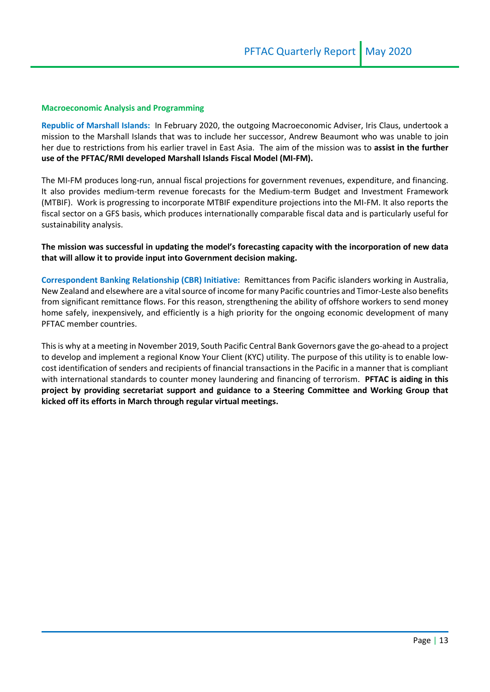#### **Macroeconomic Analysis and Programming**

**Republic of Marshall Islands:** In February 2020, the outgoing Macroeconomic Adviser, Iris Claus, undertook a mission to the Marshall Islands that was to include her successor, Andrew Beaumont who was unable to join her due to restrictions from his earlier travel in East Asia. The aim of the mission was to **assist in the further use of the PFTAC/RMI developed Marshall Islands Fiscal Model (MI-FM).**

The MI-FM produces long-run, annual fiscal projections for government revenues, expenditure, and financing. It also provides medium-term revenue forecasts for the Medium-term Budget and Investment Framework (MTBIF). Work is progressing to incorporate MTBIF expenditure projections into the MI-FM. It also reports the fiscal sector on a GFS basis, which produces internationally comparable fiscal data and is particularly useful for sustainability analysis.

**The mission was successful in updating the model's forecasting capacity with the incorporation of new data that will allow it to provide input into Government decision making.** 

**Correspondent Banking Relationship (CBR) Initiative:** Remittances from Pacific islanders working in Australia, New Zealand and elsewhere are a vital source of income for many Pacific countries and Timor-Leste also benefits from significant remittance flows. For this reason, strengthening the ability of offshore workers to send money home safely, inexpensively, and efficiently is a high priority for the ongoing economic development of many PFTAC member countries.

This is why at a meeting in November 2019, South Pacific Central Bank Governors gave the go-ahead to a project to develop and implement a regional Know Your Client (KYC) utility. The purpose of this utility is to enable lowcost identification of senders and recipients of financial transactions in the Pacific in a manner that is compliant with international standards to counter money laundering and financing of terrorism. **PFTAC is aiding in this project by providing secretariat support and guidance to a Steering Committee and Working Group that kicked off its efforts in March through regular virtual meetings.**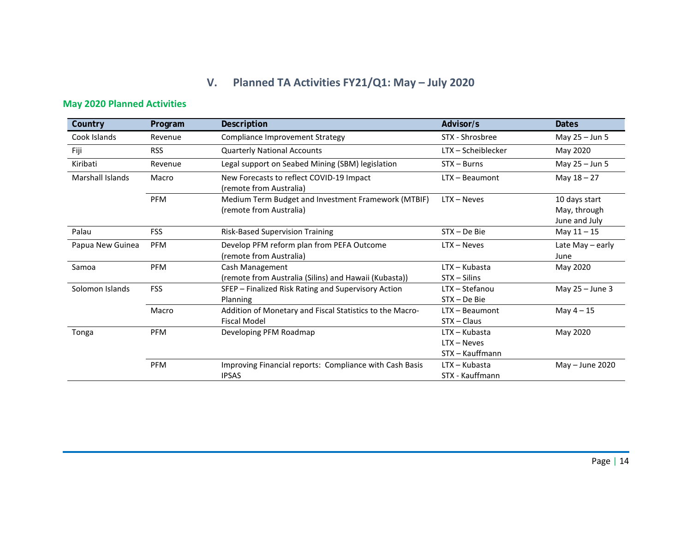# **V. Planned TA Activities FY21/Q1: May – July 2020**

# **May 2020 Planned Activities**

| Country                 | Program    | Description                                                                     | Advisor/s                                         | <b>Dates</b>                                   |
|-------------------------|------------|---------------------------------------------------------------------------------|---------------------------------------------------|------------------------------------------------|
| Cook Islands            | Revenue    | Compliance Improvement Strategy                                                 | STX - Shrosbree                                   | May 25 - Jun 5                                 |
| Fiji                    | <b>RSS</b> | <b>Quarterly National Accounts</b>                                              | LTX - Scheiblecker                                | May 2020                                       |
| Kiribati                | Revenue    | Legal support on Seabed Mining (SBM) legislation                                | $STX - Burns$                                     | May 25 - Jun 5                                 |
| <b>Marshall Islands</b> | Macro      | New Forecasts to reflect COVID-19 Impact<br>(remote from Australia)             | LTX - Beaumont                                    | May $18 - 27$                                  |
|                         | <b>PFM</b> | Medium Term Budget and Investment Framework (MTBIF)<br>(remote from Australia)  | $LTX - Neves$                                     | 10 days start<br>May, through<br>June and July |
| Palau                   | <b>FSS</b> | <b>Risk-Based Supervision Training</b>                                          | $STX - De Bie$                                    | May $11 - 15$                                  |
| Papua New Guinea        | <b>PFM</b> | Develop PFM reform plan from PEFA Outcome<br>(remote from Australia)            | $LTX - Neves$                                     | Late May - early<br>June                       |
| Samoa                   | <b>PFM</b> | Cash Management<br>(remote from Australia (Silins) and Hawaii (Kubasta))        | $LTX - Kubasta$<br>STX - Silins                   | May 2020                                       |
| Solomon Islands         | <b>FSS</b> | SFEP - Finalized Risk Rating and Supervisory Action<br>Planning                 | LTX - Stefanou<br>STX - De Bie                    | May 25 - June 3                                |
|                         | Macro      | Addition of Monetary and Fiscal Statistics to the Macro-<br><b>Fiscal Model</b> | LTX - Beaumont<br>$STX - Claus$                   | May $4-15$                                     |
| Tonga                   | PFM        | Developing PFM Roadmap                                                          | LTX - Kubasta<br>$LTX - Neves$<br>STX - Kauffmann | May 2020                                       |
|                         | <b>PFM</b> | Improving Financial reports: Compliance with Cash Basis<br><b>IPSAS</b>         | LTX - Kubasta<br>STX - Kauffmann                  | May - June 2020                                |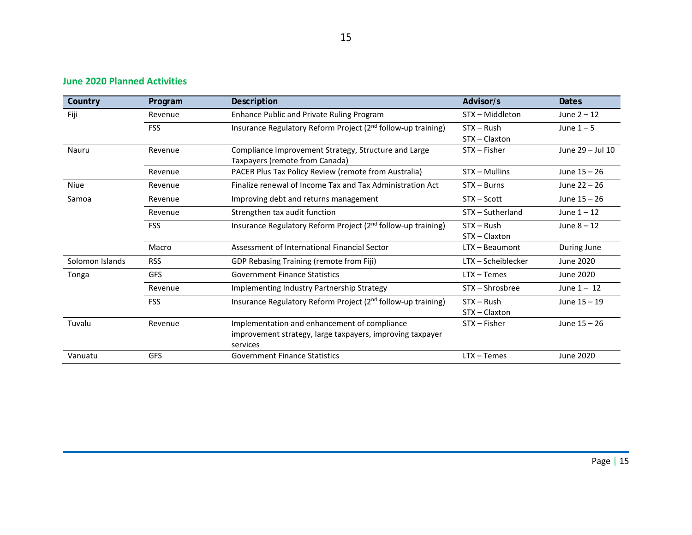# **June 2020 Planned Activities**

| Country         | Program    | Description                                                                                                           | Advisor/s                     | <b>Dates</b>     |
|-----------------|------------|-----------------------------------------------------------------------------------------------------------------------|-------------------------------|------------------|
| Fiji            | Revenue    | Enhance Public and Private Ruling Program                                                                             | STX - Middleton               | June $2 - 12$    |
|                 | <b>FSS</b> | Insurance Regulatory Reform Project (2 <sup>nd</sup> follow-up training)                                              | $STX - Rush$<br>STX - Claxton | June $1-5$       |
| Nauru           | Revenue    | Compliance Improvement Strategy, Structure and Large<br>Taxpayers (remote from Canada)                                | $STX - Fisher$                | June 29 - Jul 10 |
|                 | Revenue    | PACER Plus Tax Policy Review (remote from Australia)                                                                  | STX - Mullins                 | June 15 - 26     |
| Niue            | Revenue    | Finalize renewal of Income Tax and Tax Administration Act                                                             | $STX - Burns$                 | June 22 - 26     |
| Samoa           | Revenue    | Improving debt and returns management                                                                                 | $STX - Scott$                 | June 15 - 26     |
|                 | Revenue    | Strengthen tax audit function                                                                                         | STX - Sutherland              | June $1 - 12$    |
|                 | <b>FSS</b> | Insurance Regulatory Reform Project (2 <sup>nd</sup> follow-up training)                                              | $STX - Rush$<br>STX - Claxton | June $8 - 12$    |
|                 | Macro      | Assessment of International Financial Sector                                                                          | LTX - Beaumont                | During June      |
| Solomon Islands | <b>RSS</b> | GDP Rebasing Training (remote from Fiji)                                                                              | LTX - Scheiblecker            | June 2020        |
| Tonga           | <b>GFS</b> | <b>Government Finance Statistics</b>                                                                                  | $LTX - Temes$                 | June 2020        |
|                 | Revenue    | Implementing Industry Partnership Strategy                                                                            | STX - Shrosbree               | June $1 - 12$    |
|                 | <b>FSS</b> | Insurance Regulatory Reform Project (2 <sup>nd</sup> follow-up training)                                              | $STX - Rush$<br>STX-Claxton   | June 15 - 19     |
| Tuvalu          | Revenue    | Implementation and enhancement of compliance<br>improvement strategy, large taxpayers, improving taxpayer<br>services | $STX - Fisher$                | June 15 - 26     |
| Vanuatu         | <b>GFS</b> | <b>Government Finance Statistics</b>                                                                                  | $LTX - Temes$                 | June 2020        |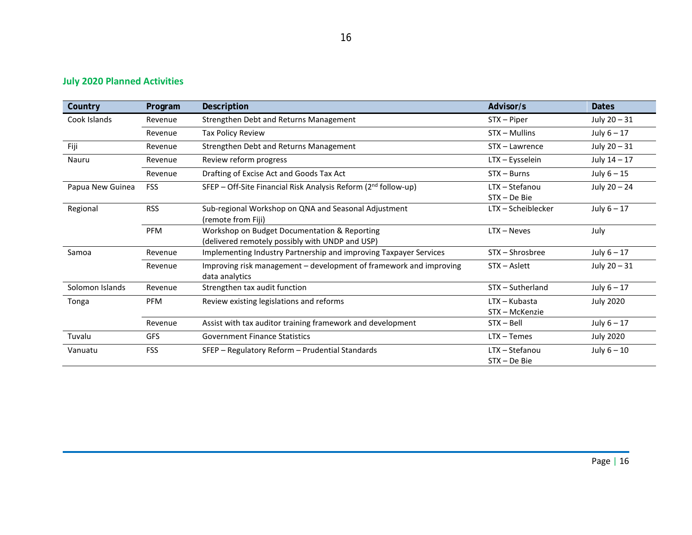# **July 2020 Planned Activities**

| Country          | Program    | Description                                                                                     | Advisor/s                         | <b>Dates</b>     |
|------------------|------------|-------------------------------------------------------------------------------------------------|-----------------------------------|------------------|
| Cook Islands     | Revenue    | Strengthen Debt and Returns Management                                                          | STX - Piper                       | July 20 - 31     |
|                  | Revenue    | <b>Tax Policy Review</b>                                                                        | STX - Mullins                     | July $6 - 17$    |
| Fiji             | Revenue    | Strengthen Debt and Returns Management                                                          | STX - Lawrence                    | July $20 - 31$   |
| Nauru            | Revenue    | Review reform progress                                                                          | LTX - Eysselein                   | July $14 - 17$   |
|                  | Revenue    | Drafting of Excise Act and Goods Tax Act                                                        | $STX - Burns$                     | July $6 - 15$    |
| Papua New Guinea | <b>FSS</b> | SFEP – Off-Site Financial Risk Analysis Reform (2 <sup>nd</sup> follow-up)                      | LTX - Stefanou<br>$STX - De Bie$  | July 20 - 24     |
| Regional         | <b>RSS</b> | Sub-regional Workshop on QNA and Seasonal Adjustment<br>(remote from Fiji)                      | LTX - Scheiblecker                | July $6 - 17$    |
|                  | PFM        | Workshop on Budget Documentation & Reporting<br>(delivered remotely possibly with UNDP and USP) | $LTX - Neves$                     | July             |
| Samoa            | Revenue    | Implementing Industry Partnership and improving Taxpayer Services                               | STX - Shrosbree                   | July $6 - 17$    |
|                  | Revenue    | Improving risk management - development of framework and improving<br>data analytics            | STX - Aslett                      | July $20 - 31$   |
| Solomon Islands  | Revenue    | Strengthen tax audit function                                                                   | STX-Sutherland                    | July $6 - 17$    |
| Tonga            | <b>PFM</b> | Review existing legislations and reforms                                                        | $LTX - Kubasta$<br>STX - McKenzie | <b>July 2020</b> |
|                  | Revenue    | Assist with tax auditor training framework and development                                      | $STX - Bell$                      | July $6 - 17$    |
| Tuvalu           | <b>GFS</b> | <b>Government Finance Statistics</b>                                                            | $LTX - Temes$                     | July 2020        |
| Vanuatu          | <b>FSS</b> | SFEP - Regulatory Reform - Prudential Standards                                                 | LTX - Stefanou<br>STX - De Bie    | July $6 - 10$    |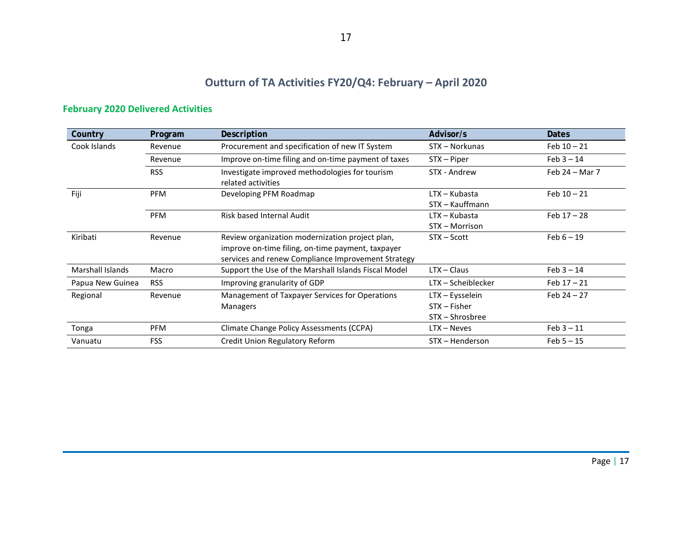# **Outturn of TA Activities FY20/Q4: February – April 2020**

| Country                 | Program    | <b>Description</b>                                                                                                                                         | Advisor/s                                            | <b>Dates</b>   |
|-------------------------|------------|------------------------------------------------------------------------------------------------------------------------------------------------------------|------------------------------------------------------|----------------|
| Cook Islands            | Revenue    | Procurement and specification of new IT System                                                                                                             | STX - Norkunas                                       | Feb $10 - 21$  |
|                         | Revenue    | Improve on-time filing and on-time payment of taxes                                                                                                        | STX – Piper                                          | $Feb 3 - 14$   |
|                         | <b>RSS</b> | Investigate improved methodologies for tourism<br>related activities                                                                                       | STX - Andrew                                         | Feb 24 - Mar 7 |
| Fiji                    | <b>PFM</b> | Developing PFM Roadmap                                                                                                                                     | $LTX - Kubasta$<br>STX - Kauffmann                   | Feb $10 - 21$  |
|                         | <b>PFM</b> | Risk based Internal Audit                                                                                                                                  | $LTX - Kubasta$<br>STX - Morrison                    | Feb $17 - 28$  |
| Kiribati                | Revenue    | Review organization modernization project plan,<br>improve on-time filing, on-time payment, taxpayer<br>services and renew Compliance Improvement Strategy | STX - Scott                                          | $Feb 6 - 19$   |
| <b>Marshall Islands</b> | Macro      | Support the Use of the Marshall Islands Fiscal Model                                                                                                       | $LTX - Claus$                                        | $Feb 3 - 14$   |
| Papua New Guinea        | <b>RSS</b> | Improving granularity of GDP                                                                                                                               | LTX - Scheiblecker                                   | Feb $17 - 21$  |
| Regional                | Revenue    | Management of Taxpayer Services for Operations<br><b>Managers</b>                                                                                          | LTX - Eysselein<br>$STX - Fisher$<br>STX - Shrosbree | Feb $24 - 27$  |
| Tonga                   | <b>PFM</b> | Climate Change Policy Assessments (CCPA)                                                                                                                   | $LTX - Neves$                                        | $Feb 3 - 11$   |
| Vanuatu                 | <b>FSS</b> | Credit Union Regulatory Reform                                                                                                                             | STX - Henderson                                      | $Feb 5 - 15$   |

# **February 2020 Delivered Activities**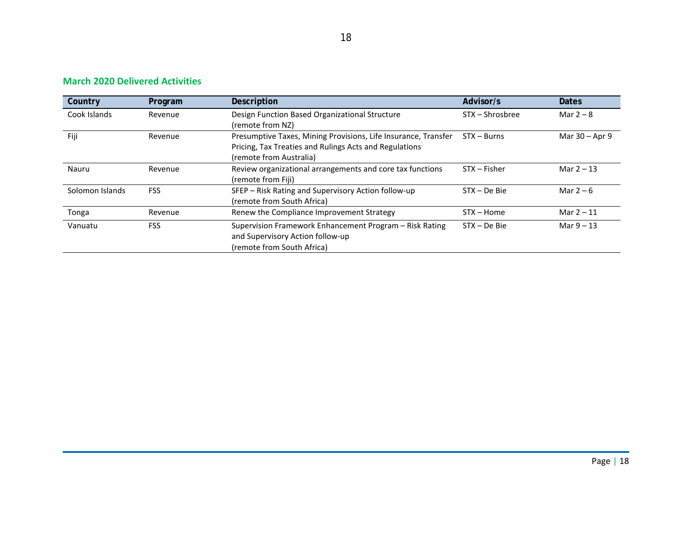# **March 2020 Delivered Activities**

| Country         | Program    | Description                                                    | Advisor/s       | <b>Dates</b>     |
|-----------------|------------|----------------------------------------------------------------|-----------------|------------------|
| Cook Islands    | Revenue    | Design Function Based Organizational Structure                 | STX - Shrosbree | Mar $2 - 8$      |
|                 |            | (remote from NZ)                                               |                 |                  |
| Fiji            | Revenue    | Presumptive Taxes, Mining Provisions, Life Insurance, Transfer | $STX - Burns$   | Mar $30 -$ Apr 9 |
|                 |            | Pricing, Tax Treaties and Rulings Acts and Regulations         |                 |                  |
|                 |            | (remote from Australia)                                        |                 |                  |
| Nauru           | Revenue    | Review organizational arrangements and core tax functions      | $STX - Fisher$  | Mar $2 - 13$     |
|                 |            | (remote from Fiji)                                             |                 |                  |
| Solomon Islands | <b>FSS</b> | SFEP – Risk Rating and Supervisory Action follow-up            | $STX - De Bie$  | Mar $2-6$        |
|                 |            | (remote from South Africa)                                     |                 |                  |
| Tonga           | Revenue    | Renew the Compliance Improvement Strategy                      | $STX - Home$    | Mar 2 – 11       |
| Vanuatu         | <b>FSS</b> | Supervision Framework Enhancement Program - Risk Rating        | $STX - De Bie$  | Mar $9 - 13$     |
|                 |            | and Supervisory Action follow-up                               |                 |                  |
|                 |            | (remote from South Africa)                                     |                 |                  |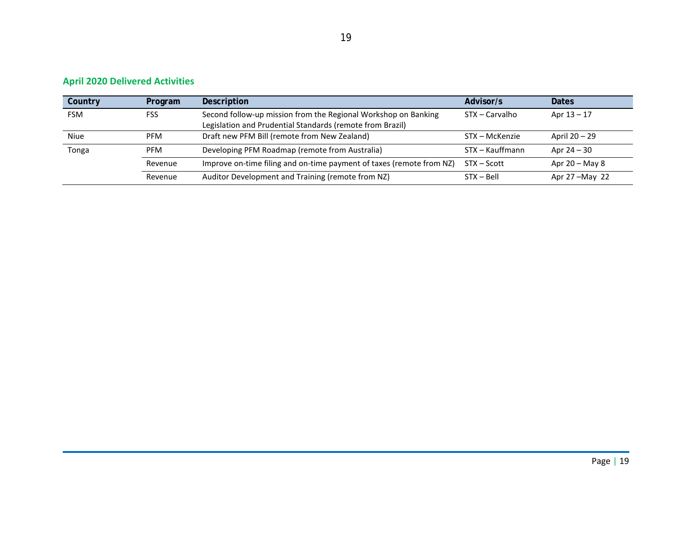# **April 2020 Delivered Activities**

| Country     | Program    | Description                                                                                                                 | Advisor/s       | Dates            |
|-------------|------------|-----------------------------------------------------------------------------------------------------------------------------|-----------------|------------------|
| <b>FSM</b>  | <b>FSS</b> | Second follow-up mission from the Regional Workshop on Banking<br>Legislation and Prudential Standards (remote from Brazil) | STX – Carvalho  | Apr $13 - 17$    |
| <b>Niue</b> | <b>PFM</b> | Draft new PFM Bill (remote from New Zealand)                                                                                | STX – McKenzie  | April 20 - 29    |
| Tonga       | <b>PFM</b> | Developing PFM Roadmap (remote from Australia)                                                                              | STX – Kauffmann | Apr 24 – 30      |
|             | Revenue    | Improve on-time filing and on-time payment of taxes (remote from NZ)                                                        | STX – Scott     | Apr $20 -$ May 8 |
|             | Revenue    | Auditor Development and Training (remote from NZ)                                                                           | $STX - Bell$    | Apr 27-May 22    |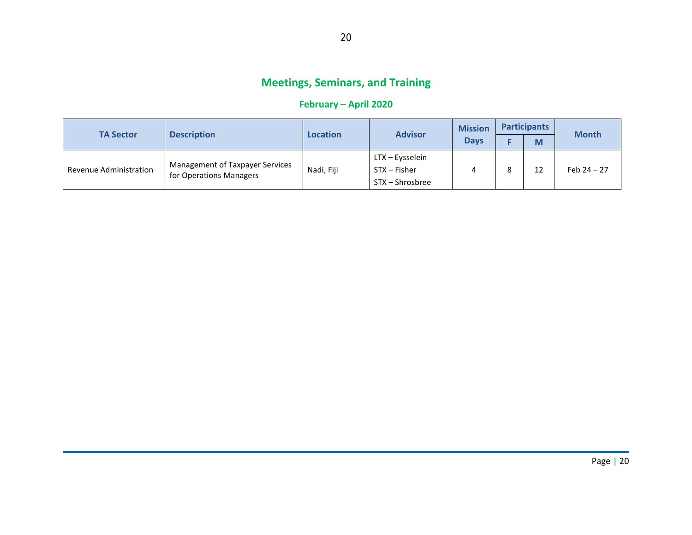# **Meetings, Seminars, and Training**

# **February – April 2020**

| <b>TA Sector</b>       | <b>Description</b>                                         | Location   | <b>Advisor</b>                                     | <b>Mission</b> | <b>Participants</b> |    | <b>Month</b>  |
|------------------------|------------------------------------------------------------|------------|----------------------------------------------------|----------------|---------------------|----|---------------|
|                        |                                                            |            |                                                    | <b>Days</b>    |                     | M  |               |
| Revenue Administration | Management of Taxpayer Services<br>for Operations Managers | Nadi, Fiji | LTX – Eysselein<br>STX – Fisher<br>STX – Shrosbree |                | 8                   | 12 | Feb $24 - 27$ |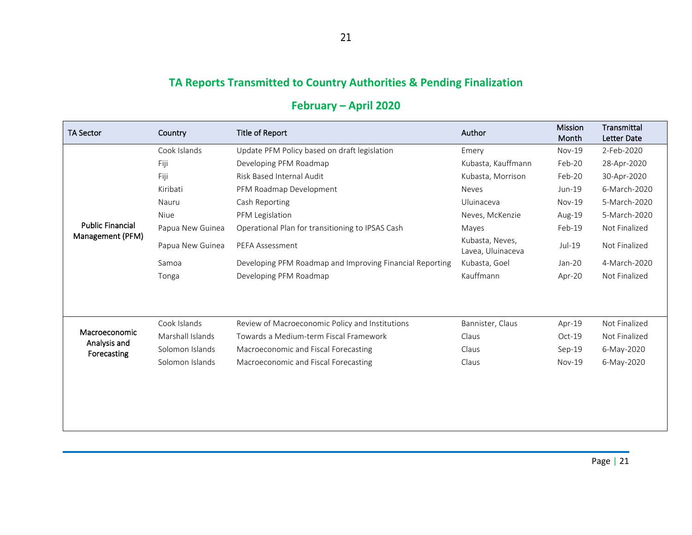# **TA Reports Transmitted to Country Authorities & Pending Finalization**

# **February – April 2020**

| <b>TA Sector</b>        | Country          | Title of Report                                          | Author                               | Mission<br>Month | Transmittal<br><b>Letter Date</b> |
|-------------------------|------------------|----------------------------------------------------------|--------------------------------------|------------------|-----------------------------------|
|                         | Cook Islands     | Update PFM Policy based on draft legislation             | Emery                                | $Nov-19$         | 2-Feb-2020                        |
|                         | Fiji             | Developing PFM Roadmap                                   | Kubasta, Kauffmann                   | Feb-20           | 28-Apr-2020                       |
|                         | Fiji             | <b>Risk Based Internal Audit</b>                         | Kubasta, Morrison                    | Feb-20           | 30-Apr-2020                       |
|                         | Kiribati         | PFM Roadmap Development                                  | <b>Neves</b>                         | $Jun-19$         | 6-March-2020                      |
|                         | Nauru            | Cash Reporting                                           | Uluinaceva                           | $Nov-19$         | 5-March-2020                      |
|                         | <b>Niue</b>      | PFM Legislation                                          | Neves, McKenzie                      | Aug-19           | 5-March-2020                      |
| <b>Public Financial</b> | Papua New Guinea | Operational Plan for transitioning to IPSAS Cash         | Mayes                                | Feb-19           | Not Finalized                     |
| Management (PFM)        | Papua New Guinea | PEFA Assessment                                          | Kubasta, Neves,<br>Lavea, Uluinaceva | Jul-19           | Not Finalized                     |
|                         | Samoa            | Developing PFM Roadmap and Improving Financial Reporting | Kubasta, Goel                        | Jan-20           | 4-March-2020                      |
|                         | Tonga            | Developing PFM Roadmap                                   | Kauffmann                            | Apr-20           | Not Finalized                     |
|                         |                  |                                                          |                                      |                  |                                   |
| Macroeconomic           | Cook Islands     | Review of Macroeconomic Policy and Institutions          | Bannister, Claus                     | Apr-19           | Not Finalized                     |
| Analysis and            | Marshall Islands | Towards a Medium-term Fiscal Framework                   | Claus                                | $Oct-19$         | Not Finalized                     |
| Forecasting             | Solomon Islands  | Macroeconomic and Fiscal Forecasting                     | Claus                                | Sep-19           | 6-May-2020                        |
|                         | Solomon Islands  | Macroeconomic and Fiscal Forecasting                     | Claus                                | $Nov-19$         | 6-May-2020                        |
|                         |                  |                                                          |                                      |                  |                                   |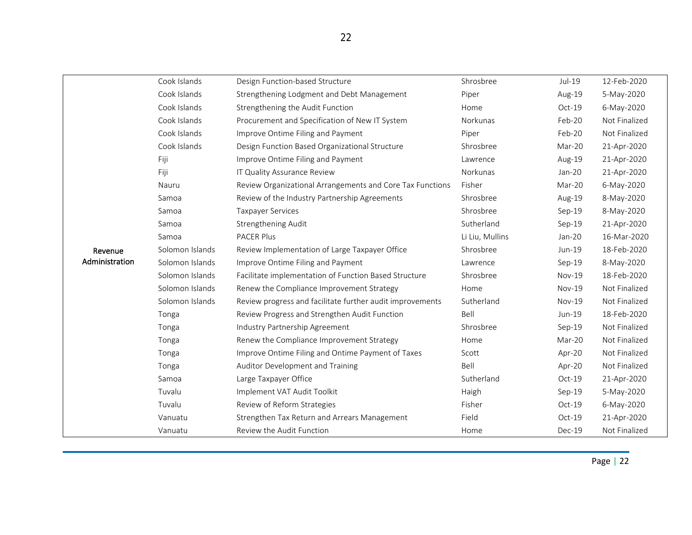|                           | Cook Islands    | Design Function-based Structure                           | Shrosbree       | Jul-19        | 12-Feb-2020   |
|---------------------------|-----------------|-----------------------------------------------------------|-----------------|---------------|---------------|
| Revenue<br>Administration | Cook Islands    | Strengthening Lodgment and Debt Management                | Piper           | Aug-19        | 5-May-2020    |
|                           | Cook Islands    | Strengthening the Audit Function                          | Home            | Oct-19        | 6-May-2020    |
|                           | Cook Islands    | Procurement and Specification of New IT System            | Norkunas        | Feb-20        | Not Finalized |
|                           | Cook Islands    | Improve Ontime Filing and Payment                         | Piper           | Feb-20        | Not Finalized |
|                           | Cook Islands    | Design Function Based Organizational Structure            | Shrosbree       | Mar-20        | 21-Apr-2020   |
|                           | Fiji            | Improve Ontime Filing and Payment                         | Lawrence        | Aug-19        | 21-Apr-2020   |
|                           | Fiji            | IT Quality Assurance Review                               | Norkunas        | Jan-20        | 21-Apr-2020   |
|                           | Nauru           | Review Organizational Arrangements and Core Tax Functions | Fisher          | Mar-20        | 6-May-2020    |
|                           | Samoa           | Review of the Industry Partnership Agreements             | Shrosbree       | Aug-19        | 8-May-2020    |
|                           | Samoa           | <b>Taxpayer Services</b>                                  | Shrosbree       | Sep-19        | 8-May-2020    |
|                           | Samoa           | <b>Strengthening Audit</b>                                | Sutherland      | Sep-19        | 21-Apr-2020   |
|                           | Samoa           | PACER Plus                                                | Li Liu, Mullins | Jan-20        | 16-Mar-2020   |
|                           | Solomon Islands | Review Implementation of Large Taxpayer Office            | Shrosbree       | Jun-19        | 18-Feb-2020   |
|                           | Solomon Islands | Improve Ontime Filing and Payment                         | Lawrence        | Sep-19        | 8-May-2020    |
|                           | Solomon Islands | Facilitate implementation of Function Based Structure     | Shrosbree       | <b>Nov-19</b> | 18-Feb-2020   |
|                           | Solomon Islands | Renew the Compliance Improvement Strategy                 | Home            | <b>Nov-19</b> | Not Finalized |
|                           | Solomon Islands | Review progress and facilitate further audit improvements | Sutherland      | Nov-19        | Not Finalized |
|                           | Tonga           | Review Progress and Strengthen Audit Function             | Bell            | $Jun-19$      | 18-Feb-2020   |
|                           | Tonga           | Industry Partnership Agreement                            | Shrosbree       | Sep-19        | Not Finalized |
|                           | Tonga           | Renew the Compliance Improvement Strategy                 | Home            | Mar-20        | Not Finalized |
|                           | Tonga           | Improve Ontime Filing and Ontime Payment of Taxes         | Scott           | Apr-20        | Not Finalized |
|                           | Tonga           | Auditor Development and Training                          | Bell            | Apr-20        | Not Finalized |
|                           | Samoa           | Large Taxpayer Office                                     | Sutherland      | $Oct-19$      | 21-Apr-2020   |
|                           | Tuvalu          | Implement VAT Audit Toolkit                               | Haigh           | Sep-19        | 5-May-2020    |
|                           | Tuvalu          | Review of Reform Strategies                               | Fisher          | Oct-19        | 6-May-2020    |
|                           | Vanuatu         | Strengthen Tax Return and Arrears Management              | Field           | Oct-19        | 21-Apr-2020   |
|                           | Vanuatu         | Review the Audit Function                                 | Home            | Dec-19        | Not Finalized |